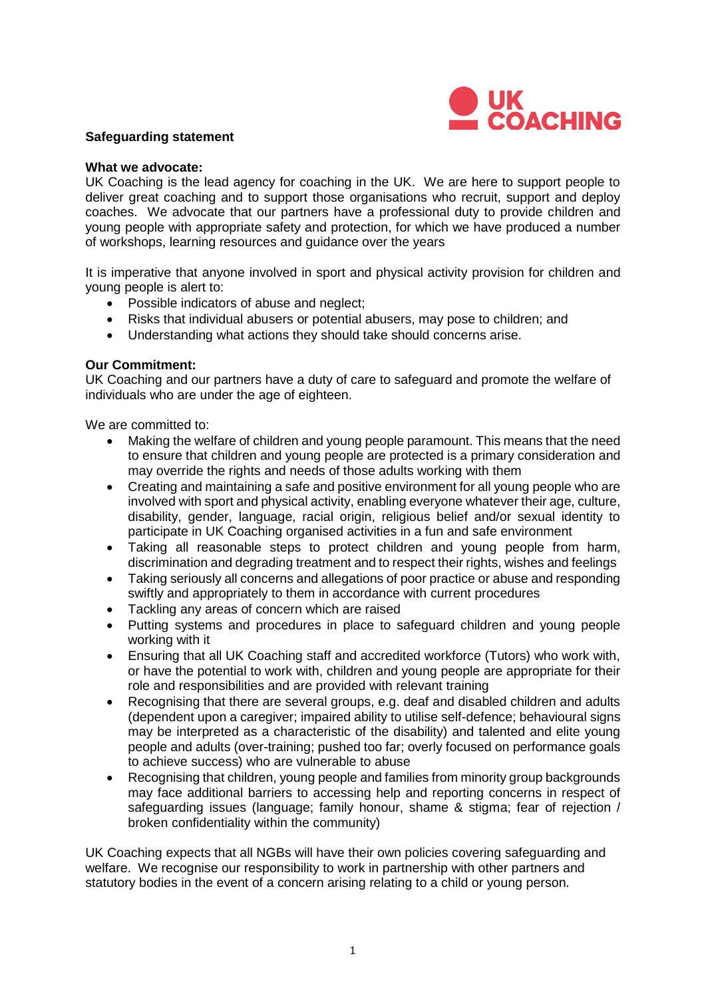

#### **Safeguarding statement**

#### **What we advocate:**

UK Coaching is the lead agency for coaching in the UK. We are here to support people to deliver great coaching and to support those organisations who recruit, support and deploy coaches. We advocate that our partners have a professional duty to provide children and young people with appropriate safety and protection, for which we have produced a number of workshops, learning resources and guidance over the years

It is imperative that anyone involved in sport and physical activity provision for children and young people is alert to:

- Possible indicators of abuse and neglect;
- Risks that individual abusers or potential abusers, may pose to children; and
- Understanding what actions they should take should concerns arise.

#### **Our Commitment:**

UK Coaching and our partners have a duty of care to safeguard and promote the welfare of individuals who are under the age of eighteen.

We are committed to:

- Making the welfare of children and young people paramount. This means that the need to ensure that children and young people are protected is a primary consideration and may override the rights and needs of those adults working with them
- Creating and maintaining a safe and positive environment for all young people who are involved with sport and physical activity, enabling everyone whatever their age, culture, disability, gender, language, racial origin, religious belief and/or sexual identity to participate in UK Coaching organised activities in a fun and safe environment
- Taking all reasonable steps to protect children and young people from harm, discrimination and degrading treatment and to respect their rights, wishes and feelings
- Taking seriously all concerns and allegations of poor practice or abuse and responding swiftly and appropriately to them in accordance with current procedures
- Tackling any areas of concern which are raised
- Putting systems and procedures in place to safeguard children and young people working with it
- Ensuring that all UK Coaching staff and accredited workforce (Tutors) who work with, or have the potential to work with, children and young people are appropriate for their role and responsibilities and are provided with relevant training
- Recognising that there are several groups, e.g. deaf and disabled children and adults (dependent upon a caregiver; impaired ability to utilise self-defence; behavioural signs may be interpreted as a characteristic of the disability) and talented and elite young people and adults (over-training; pushed too far; overly focused on performance goals to achieve success) who are vulnerable to abuse
- Recognising that children, young people and families from minority group backgrounds may face additional barriers to accessing help and reporting concerns in respect of safeguarding issues (language; family honour, shame & stigma; fear of rejection / broken confidentiality within the community)

UK Coaching expects that all NGBs will have their own policies covering safeguarding and welfare. We recognise our responsibility to work in partnership with other partners and statutory bodies in the event of a concern arising relating to a child or young person.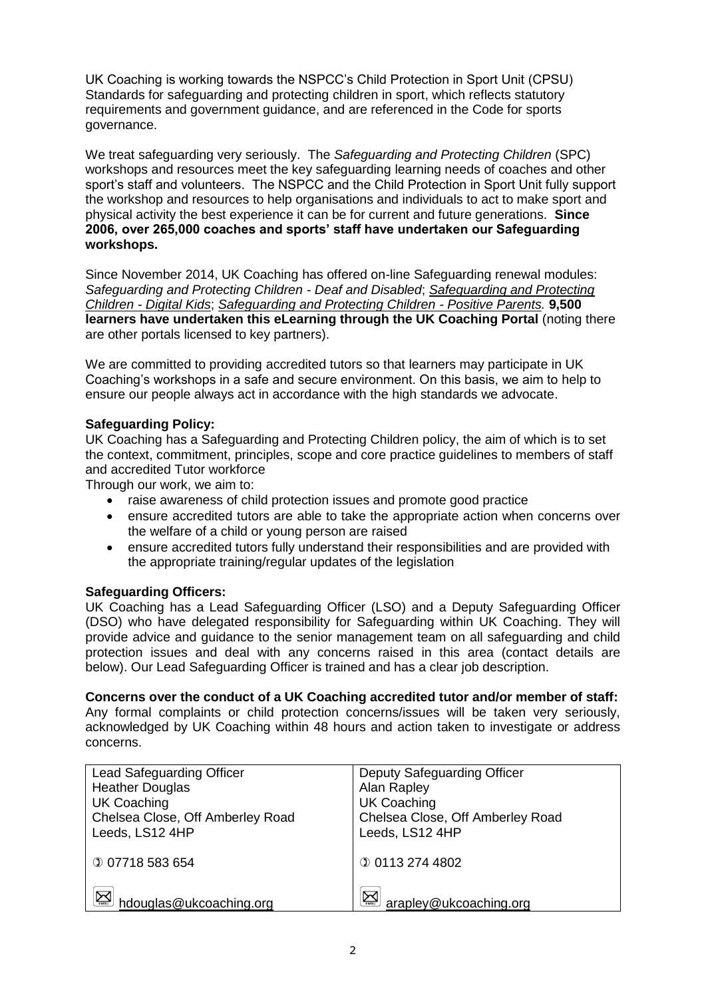UK Coaching is working towards the NSPCC's Child Protection in Sport Unit (CPSU) Standards for [safeguarding](https://thecpsu.org.uk/resource-library/2013/standards-for-safeguarding-and-protecting-children-in-sport/) and protecting children in sport, which reflects statutory requirements and government guidance, and are referenced in the Code for sports governance.

We treat safeguarding very seriously. The *Safeguarding and Protecting Children* (SPC) workshops and resources meet the key safeguarding learning needs of coaches and other sport's staff and volunteers. The NSPCC and the Child Protection in Sport Unit fully support the workshop and resources to help organisations and individuals to act to make sport and physical activity the best experience it can be for current and future generations. **Since 2006, over 265,000 coaches and sports' staff have undertaken our Safeguarding workshops.**

Since November 2014, UK Coaching has offered on-line Safeguarding renewal modules: *Safeguarding and Protecting Children - Deaf and Disabled*; *[Safeguarding and Protecting](https://learninghub.ukcoaching.org/store/351736-2018-renewal-safeguarding-and-protecting-children-digital-kids)  Children - [Digital Kids](https://learninghub.ukcoaching.org/store/351736-2018-renewal-safeguarding-and-protecting-children-digital-kids)*; *[Safeguarding and Protecting Children -](https://learninghub.ukcoaching.org/store/351684-2018-renewal-safeguarding-and-protecting-children-positive-parents) Positive Parents.* **9,500 learners have undertaken this eLearning through the UK Coaching Portal** (noting there are other portals licensed to key partners).

We are committed to providing accredited tutors so that learners may participate in UK Coaching's workshops in a safe and secure environment. On this basis, we aim to help to ensure our people always act in accordance with the high standards we advocate.

# **Safeguarding Policy:**

UK Coaching has a Safeguarding and Protecting Children policy, the aim of which is to set the context, commitment, principles, scope and core practice guidelines to members of staff and accredited Tutor workforce

Through our work, we aim to:

- raise awareness of child protection issues and promote good practice
- ensure accredited tutors are able to take the appropriate action when concerns over the welfare of a child or young person are raised
- ensure accredited tutors fully understand their responsibilities and are provided with the appropriate training/regular updates of the legislation

# **Safeguarding Officers:**

UK Coaching has a Lead Safeguarding Officer (LSO) and a Deputy Safeguarding Officer (DSO) who have delegated responsibility for Safeguarding within UK Coaching. They will provide advice and guidance to the senior management team on all safeguarding and child protection issues and deal with any concerns raised in this area (contact details are below). Our Lead Safeguarding Officer is trained and has a clear job description.

# **Concerns over the conduct of a UK Coaching accredited tutor and/or member of staff:**

Any formal complaints or child protection concerns/issues will be taken very seriously, acknowledged by UK Coaching within 48 hours and action taken to investigate or address concerns.

| <b>Lead Safeguarding Officer</b>                | Deputy Safeguarding Officer      |
|-------------------------------------------------|----------------------------------|
| <b>Heather Douglas</b>                          | Alan Rapley                      |
| <b>UK Coaching</b>                              | <b>UK Coaching</b>               |
| Chelsea Close, Off Amberley Road                | Chelsea Close, Off Amberley Road |
| Leeds, LS12 4HP                                 | Leeds, LS12 4HP                  |
|                                                 |                                  |
| <b>007718583654</b>                             | <b>001132744802</b>              |
|                                                 |                                  |
| $\sum_{\text{mean}}$<br>hdouglas@ukcoaching.org | arapley@ukcoaching.org           |
|                                                 |                                  |